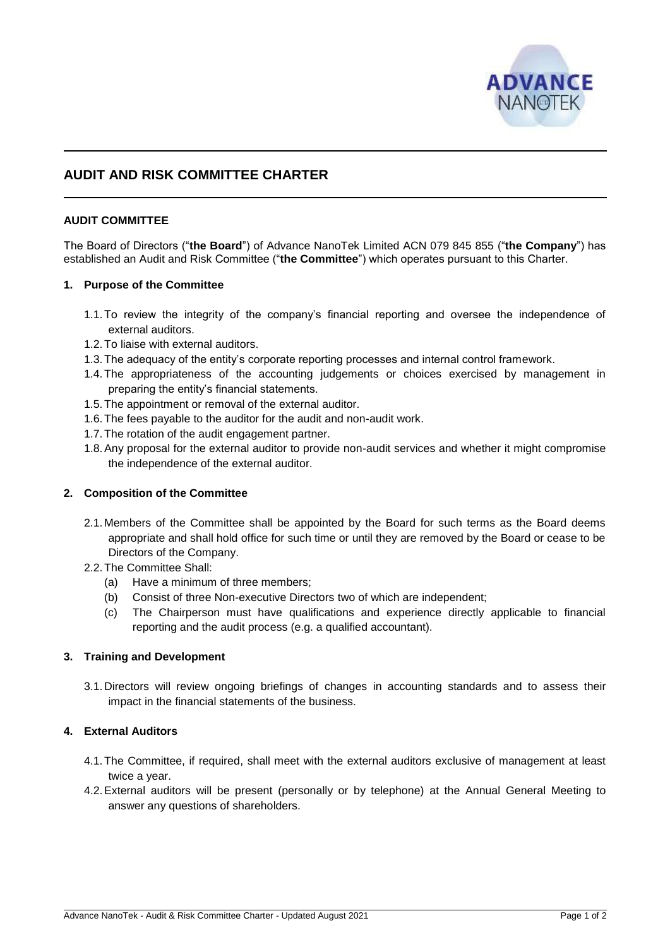

# **AUDIT AND RISK COMMITTEE CHARTER**

## **AUDIT COMMITTEE**

The Board of Directors ("**the Board**") of Advance NanoTek Limited ACN 079 845 855 ("**the Company**") has established an Audit and Risk Committee ("**the Committee**") which operates pursuant to this Charter.

## **1. Purpose of the Committee**

- 1.1.To review the integrity of the company's financial reporting and oversee the independence of external auditors.
- 1.2.To liaise with external auditors.
- 1.3.The adequacy of the entity's corporate reporting processes and internal control framework.
- 1.4.The appropriateness of the accounting judgements or choices exercised by management in preparing the entity's financial statements.
- 1.5.The appointment or removal of the external auditor.
- 1.6.The fees payable to the auditor for the audit and non-audit work.
- 1.7.The rotation of the audit engagement partner.
- 1.8.Any proposal for the external auditor to provide non-audit services and whether it might compromise the independence of the external auditor.

## **2. Composition of the Committee**

- 2.1. Members of the Committee shall be appointed by the Board for such terms as the Board deems appropriate and shall hold office for such time or until they are removed by the Board or cease to be Directors of the Company.
- 2.2.The Committee Shall:
	- (a) Have a minimum of three members;
	- (b) Consist of three Non-executive Directors two of which are independent;
	- (c) The Chairperson must have qualifications and experience directly applicable to financial reporting and the audit process (e.g. a qualified accountant).

## **3. Training and Development**

3.1. Directors will review ongoing briefings of changes in accounting standards and to assess their impact in the financial statements of the business.

## **4. External Auditors**

- 4.1.The Committee, if required, shall meet with the external auditors exclusive of management at least twice a year.
- 4.2.External auditors will be present (personally or by telephone) at the Annual General Meeting to answer any questions of shareholders.